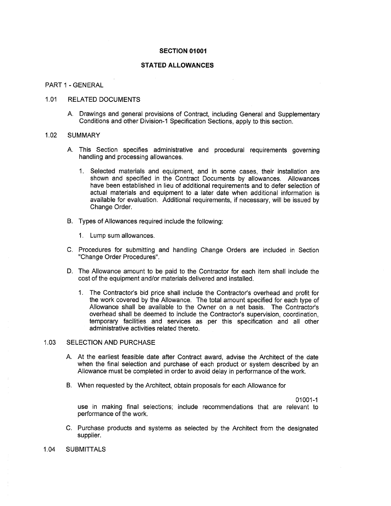#### **SECTION 01001**

# **STATED ALLOWANCES**

#### PART <sup>1</sup> -GENERAL

## 1.01 RELATED DOCUMENTS

A. Drawings and general provisions of Contract, including General and Supplementary Conditions and other Division-I Specification Sections, apply to this section.

#### 1.02 SUMMARY

- A. This Section specifies administrative and procedural requirements governing handling and processing allowances.
	- I. Selected materials and equipment, and in some cases, their installation are shown and specified in the Contract Documents by allowances. Allowances have been established in lieu of additional requirements and to defer selection of actual materials and equipment to a later date when additional information is available for evaluation. Additional requirements, if necessary, will be issued by Change Order.
- B. Types of Allowances required include the following:
	- 1. Lump sum allowances.
- C. Procedures for submitting and handling Change Orders are included in Section "Change Order Procedures".
- D. The Allowance amount to be paid to the Contractor for each item shall include the cost of the equipment and/or materials delivered and installed.
	- 1. The Contractor's bid price shall include the Contractor's overhead and profit for the work covered by the Allowance. The total amount specified for each type of Allowance shall be available to the Owner on a net basis. The Contractor's overhead shall be deemed to include the Contractor's supervision, coordination, temporary facilities and services as per this specification and all other administrative activities related thereto.

### 1.03 SELECTION AND PURCHASE

- A. At the earliest feasible date after Contract award, advise the Architect of the date when the final selection and purchase of each product or system described by an Allowance must be completed in order to avoid delay in performance of the work.
- B. When requested by the Architect, obtain proposals for each Allowance for

01001-1

use in making final selections; include recommendations that are relevant to performance of the work.

- C. Purchase products and systems as selected by the Architect from the designated supplier.
- 1.04 SUBMITTALS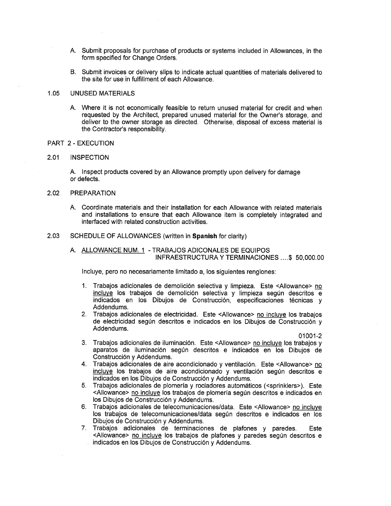- A. Submit proposals for purchase of products or systems included in Allowances, in the form specified for Change Orders.
- B. Submit invoices or delivery slips to indicate actual quantities of materials delivered to the site for use in fulfillment of each Allowance.

#### 1.05 UNUSED MATERIALS

A. Where it is not economically feasible to return unused material for credit and when requested by the Architect, prepared unused material for the Owner's storage, and deliver to the owner storage as directed. Otherwise, disposal of excess material is the Contractor's responsibility.

## PART 2 - EXECUTION

#### 2.01 INSPECTION

A. Inspect products covered by an Allowance promptly upon delivery for damage or defects.

#### 2.02 PREPARATION

A. Coordinate materials and their installation for each Allowance with related materials and installations to ensure that each Allowance item is completely integrated and interfaced with related construction activities.

# 2.03 SCHEDULE OF ALLOWANCES (written in **Spanish** for clarity)

# A. ALLOWANCE NUM. 1 - TRABAJOS ADICONALES DE EQUIPOS INFRAESTRUCTURA Y TERMINACIONES ... .\$ 50,000.00

Incluye, pero no necesariamente limitado a, los siguientes renglones:

- 1. Trabajos adicionales de demolición selectiva y limpieza. Este <Allowance> no incluye los trabajos de demolición selectiva y limpieza según descritos e indicados en los Dibujos de Construcción, especificaciones técnicas y Addendums.
- 2. Trabajos adicionales de electricidad. Este <Allowance> no incluve los trabajos de electricidad según descritos e indicados en los Dibujos de Construcción y Addendums.

01001-2

- 3. Trabaios adicionales de iluminación. Este <Allowance> no incluye los trabajos y aparatos de iluminación segün descritos e indicados en los Dibujos de Construcción y Addendums.
- 4. Trabajos adicionales de aire acondicionado y ventilación. Este <Allowance> no  $incluye$  los trabajos de aire acondicionado y ventilación según descritos e indicados en los Dibujos de Construcción y Addendums.
- 5. Trabajos adicionales de plomerla y rociadores automãticos (<sprinklers>). Este <Allowance> no incluye los trabajos de plomería según descritos e indicados en los Dibujos de Construcciôn y Addendums.
- 6. Trabajos adicionales de telecomunicaciones/data. Este <Allowance> no incluye los trabajos de telecomunicaciones/data segün descritos e indicados en los Dibujos de Construcción y Addendums.
- 7. Trabajos adicionales de terminaciones de plafones y paredes. Este <Allowance> no incluye los trabajos de plafones y paredes según descritos e indicados en los Dibujos de Construcción y Addendums.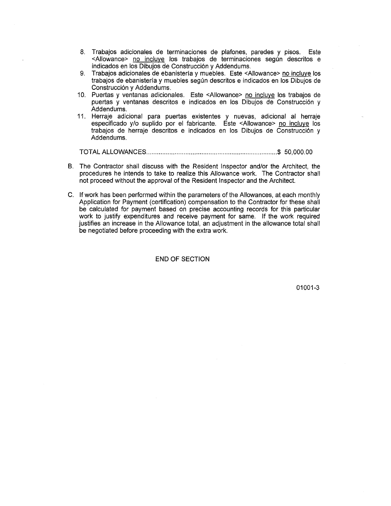- 8. Trabajos adicionales de terminaciones de plafones, paredes y pisos. Este <Allowance> no incluye los trabajos de terminaciones según descritos e indicados en los Dibujos de Construcciôn y Addendums.
- 9. Trabajos adicionales de ebanistería y muebles. Este <Allowance> no incluye los trabajos de ebanistería y muebles según descritos e indicados en los Dibujos de Construcción y Addendums.
- 10. Puertas y ventanas adicionales. Este <Allowance> no incluye los trabajos de puertas y ventanas descritos e indicados en los Dibujos de Construcción y Addendums.
- 11. Herraje adicional para puertas existentes y nuevas, adicional al herraje especificado y/o suplido por el fabricante. Este <Allowance> no incluye los trabajos de herraje descritos e indicados en los Dibujos de Construcciôn y Addendums.

TOTAL ALLOWANCES............ \$ 50,000.00

- B. The Contractor shall discuss with the Resident Inspector and/or the Architect, the procedures he intends to take to realize this Allowance work. The Contractor shall not proceed without the approval of the Resident Inspector and the Architect.
- C. If work has been performed within the parameters of the Allowances, at each monthly Application for Payment (certification) compensation to the Contractor for these shall be calculated for payment based on precise accounting records for this particular work to justify expenditures and receive payment for same. If the work required justifies an increase in the Allowance total, an adjustment in the allowance total shall be negotiated before proceeding with the extra work.

END OF SECTION

01001-3